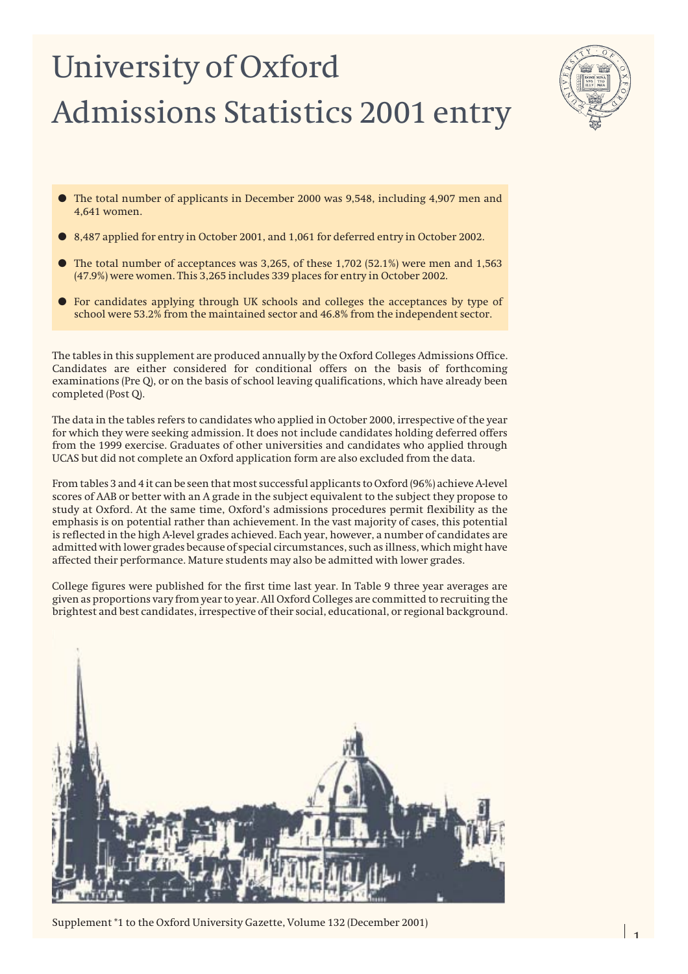# University of Oxford Admissions Statistics 2001 entry



- The total number of applicants in December 2000 was 9,548, including 4,907 men and 4,641 women.
- 8,487 applied for entry in October 2001, and 1,061 for deferred entry in October 2002.
- The total number of acceptances was  $3,265$ , of these  $1,702$  (52.1%) were men and  $1,563$ (47.9%) were women. This 3,265 includes 339 places for entry in October 2002.
- For candidates applying through UK schools and colleges the acceptances by type of school were 53.2% from the maintained sector and 46.8% from the independent sector.

The tables in this supplement are produced annually by the Oxford Colleges Admissions Office. Candidates are either considered for conditional offers on the basis of forthcoming examinations (Pre Q), or on the basis of school leaving qualifications, which have already been completed (Post Q).

The data in the tables refers to candidates who applied in October 2000, irrespective of the year for which they were seeking admission. It does not include candidates holding deferred offers from the 1999 exercise. Graduates of other universities and candidates who applied through UCAS but did not complete an Oxford application form are also excluded from the data.

From tables 3 and 4 it can be seen that most successful applicants to Oxford (96%) achieve A-level scores of AAB or better with an A grade in the subject equivalent to the subject they propose to study at Oxford. At the same time, Oxford's admissions procedures permit flexibility as the emphasis is on potential rather than achievement. In the vast majority of cases, this potential is reflected in the high A-level grades achieved. Each year, however, a number of candidates are admitted with lower grades because of special circumstances, such as illness, which might have affected their performance. Mature students may also be admitted with lower grades.

College figures were published for the first time last year. In Table 9 three year averages are given as proportions vary from year to year. All Oxford Colleges are committed to recruiting the brightest and best candidates, irrespective of their social, educational, or regional background.



Supplement \*1 to the Oxford University Gazette, Volume 132 (December 2001)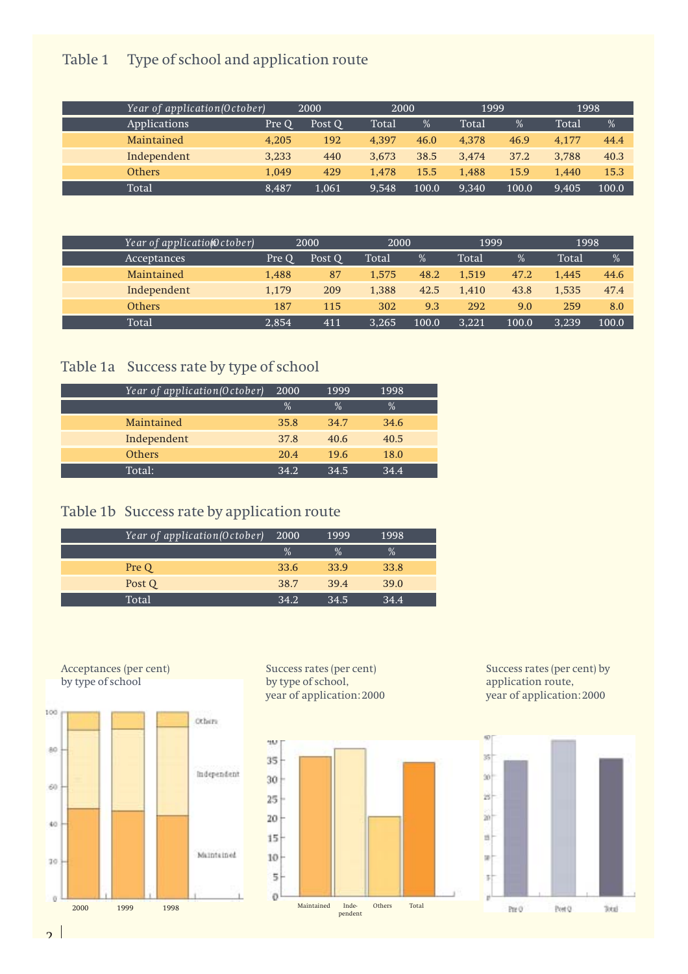### Table 1 Type of school and application route

| Year of application (October) |       | 2000   | 2000  |       | 1999  |       | 1998  |       |
|-------------------------------|-------|--------|-------|-------|-------|-------|-------|-------|
| <i>Applications</i>           | Pre O | Post Q | Total | %     | Total | %     | Total | %     |
| Maintained                    | 4.205 | 192    | 4.397 | 46.0  | 4.378 | 46.9  | 4.177 | 44.4  |
| Independent                   | 3,233 | 440    | 3.673 | 38.5  | 3.474 | 37.2  | 3.788 | 40.3  |
| <b>Others</b>                 | 1.049 | 429    | 1.478 | 15.5  | 1.488 | 15.9  | 1.440 | 15.3  |
| Total                         | 8,487 | 1.061  | 9.548 | 100.0 | 9.340 | 100.0 | 9.405 | 100.0 |

| Year of applicatio@ctober) |       | 2000   | 2000  |       | 1999  |       | 1998  |               |
|----------------------------|-------|--------|-------|-------|-------|-------|-------|---------------|
| Acceptances                | Pre O | Post Q | Total | $\%$  | Total | %     | Total | $\frac{0}{0}$ |
| Maintained                 | 1,488 | 87     | 1.575 | 48.2  | 1.519 | 47.2  | 1.445 | 44.6          |
| Independent                | 1.179 | 209    | 1.388 | 42.5  | 1.410 | 43.8  | 1.535 | 47.4          |
| <b>Others</b>              | 187   | 115    | 302   | 9.3   | 292   | 9.0   | 259   | 8.0           |
| Total                      | 2.854 | 411    | 3.265 | 100.0 | 3,221 | 100.0 | 3.239 | 100.0         |

### Table 1a Success rate by type of school

| Year of application (October) | 2000 | 1999 | 1998          |  |
|-------------------------------|------|------|---------------|--|
|                               | $\%$ | $\%$ | $\frac{0}{0}$ |  |
| Maintained                    | 35.8 | 34.7 | 34.6          |  |
| Independent                   | 37.8 | 40.6 | 40.5          |  |
| <b>Others</b>                 | 20.4 | 19.6 | 18.0          |  |
| Total:                        | 34.2 | 34.5 | 34.4          |  |

### Table 1b Success rate by application route

| Year of application(October) | 2000 | 1999 | 1998 |  |
|------------------------------|------|------|------|--|
|                              | $\%$ | $\%$ | $\%$ |  |
| Pre Q                        | 33.6 | 33.9 | 33.8 |  |
| Post Q                       | 38.7 | 39.4 | 39.0 |  |
| Total                        | 34.2 | 34.5 | 34.4 |  |



Success rates (per cent) by type of school, year of application: 2000



Success rates (per cent) by application route, year of application: 2000



 $\overline{2}$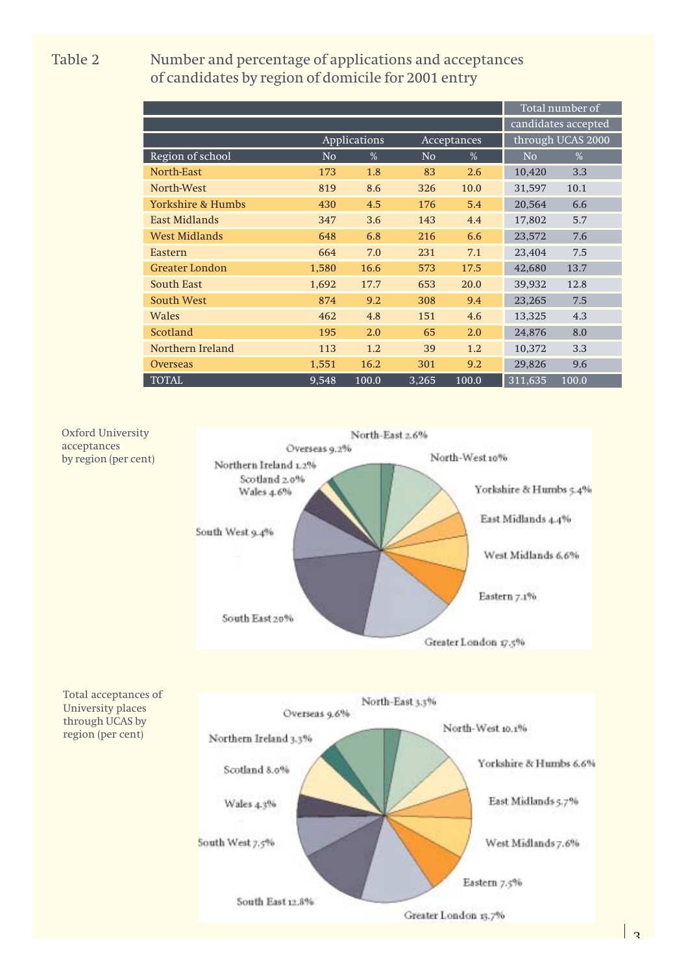Table 2 Number and percentage of applications and acceptances of candidates by region of domicile for 2001 entry

|                       |                     |                     |                |             |                | Total number of   |
|-----------------------|---------------------|---------------------|----------------|-------------|----------------|-------------------|
|                       | candidates accepted |                     |                |             |                |                   |
|                       |                     | <b>Applications</b> |                | Acceptances |                | through UCAS 2000 |
| Region of school      | N <sub>o</sub>      | %                   | N <sub>o</sub> | %           | N <sub>o</sub> | $\%$              |
| North-East            | 173                 | 1.8                 | 83             | 2.6         | 10,420         | 3.3               |
| North-West            | 819                 | 8.6                 | 326            | 10.0        | 31,597         | 10.1              |
| Yorkshire & Humbs     | 430                 | 4.5                 | 176            | 5.4         | 20,564         | 6.6               |
| <b>East Midlands</b>  | 347                 | 3.6                 | 143            | 4.4         | 17,802         | 5.7               |
| <b>West Midlands</b>  | 648                 | 6.8                 | 216            | 6.6         | 23,572         | 7.6               |
| Eastern               | 664                 | 7.0                 | 231            | 7.1         | 23,404         | 7.5               |
| <b>Greater London</b> | 1,580               | 16.6                | 573            | 17.5        | 42,680         | 13.7              |
| South East            | 1,692               | 17.7                | 653            | 20.0        | 39.932         | 12.8              |
| South West            | 874                 | 9.2                 | 308            | 9.4         | 23,265         | 7.5               |
| Wales                 | 462                 | 4.8                 | 151            | 4.6         | 13,325         | 4.3               |
| Scotland              | 195                 | 2.0                 | 65             | 2.0         | 24,876         | 8.0               |
| Northern Ireland      | 113                 | 1.2                 | 39             | 1.2         | 10,372         | 3.3               |
| <b>Overseas</b>       | 1,551               | 16.2                | 301            | 9.2         | 29,826         | 9.6               |
| <b>TOTAL</b>          | 9,548               | 100.0               | 3,265          | 100.0       | 311,635        | 100.0             |



 $\vert$  2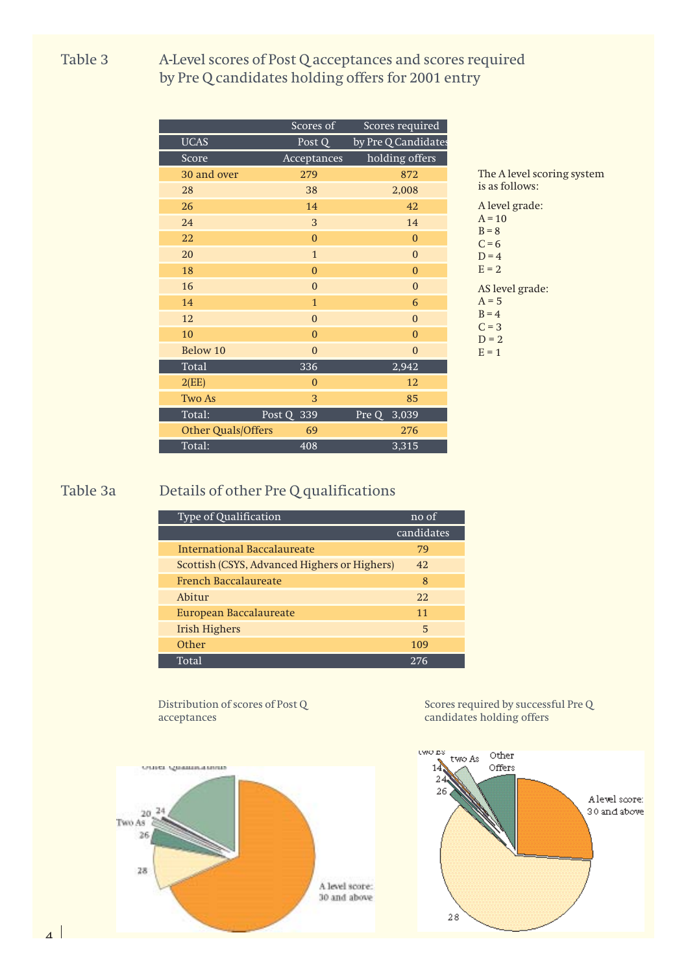#### Table 3 A-Level scores of Post Q acceptances and scores required by Pre Q candidates holding offers for 2001 entry

|                    | Scores of      | Scores required     |
|--------------------|----------------|---------------------|
| <b>UCAS</b>        | Post Q         | by Pre Q Candidates |
| Score              | Acceptances    | holding offers      |
| 30 and over        | 279            | 872                 |
| 28                 | 38             | 2,008               |
| 26                 | 14             | 42                  |
| 24                 | 3              | 14                  |
| 22                 | $\Omega$       | $\overline{0}$      |
| 20                 | $1\,$          | $\mathbf{0}$        |
| 18                 | $\mathbf{0}$   | $\Omega$            |
| 16                 | $\mathbf{0}$   | $\mathbf{0}$        |
| 14                 | $\mathbf{1}$   | 6                   |
| 12                 | $\overline{0}$ | $\boldsymbol{0}$    |
| 10                 | $\mathbf{0}$   | $\theta$            |
| Below 10           | $\mathbf{0}$   | $\boldsymbol{0}$    |
| Total              | 336            | 2,942               |
| 2(EE)              | $\mathbf{0}$   | 12                  |
| Two As             | 3              | 85                  |
| Total:             | Post Q<br>339  | 3,039<br>Pre Q      |
| Other Quals/Offers | 69             | 276                 |
| Total:             | 408            | 3,315               |
|                    |                |                     |

The A level scoring system s as follows: level grade:  $= 10$  $= 8$  $= 6$  $= 4$  $= 2$ AS level grade:  $= 5$  $= 4$  $= 3$  $= 2$  $= 1$ 

### Table 3a Details of other Pre Q qualifications

| Type of Qualification                        | no of      |
|----------------------------------------------|------------|
|                                              | candidates |
| International Baccalaureate                  | 79         |
| Scottish (CSYS, Advanced Highers or Highers) | 42.        |
| French Baccalaureate                         | 8          |
| Abitur                                       | 22.        |
| European Baccalaureate                       | 11         |
| <b>Irish Highers</b>                         | 5          |
| Other                                        | 109        |
| Total                                        | 276        |

Distribution of scores of Post Q acceptances



Scores required by successful Pre Q candidates holding offers

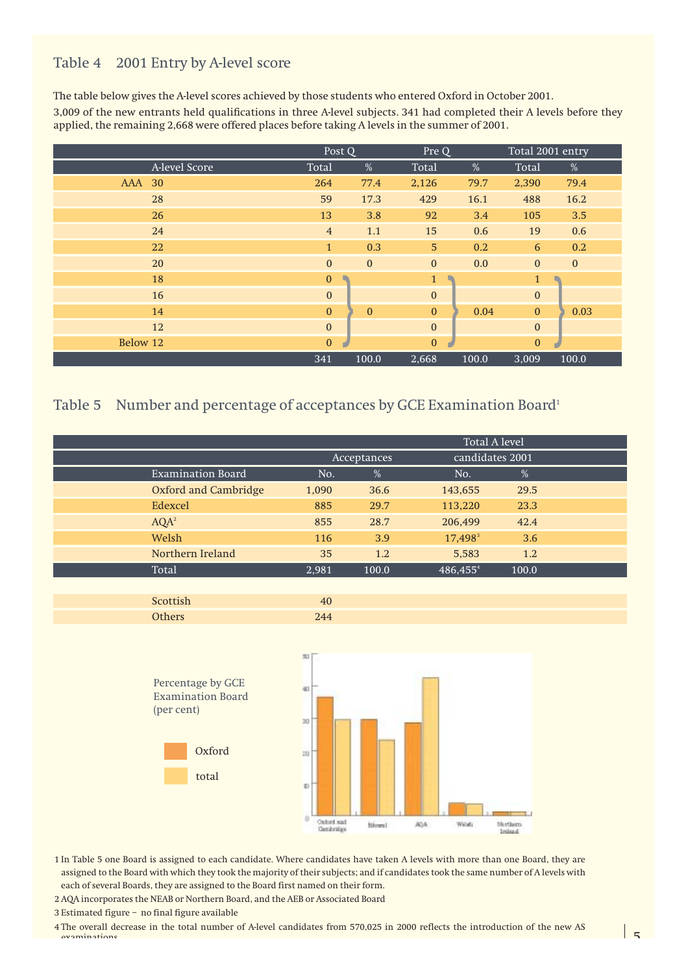#### Table 4 2001 Entry by A-level score

The table below gives the A-level scores achieved by those students who entered Oxford in October 2001. 3,009 of the new entrants held qualifications in three A-level subjects. 341 had completed their A levels before they applied, the remaining 2,668 were offered places before taking A levels in the summer of 2001.

|                  | Post Q           |              | Pre Q          |       | Total 2001 entry |              |
|------------------|------------------|--------------|----------------|-------|------------------|--------------|
| A-level Score    | Total            | $\%$         | Total          | $\%$  | Total            | %            |
| <b>AAA</b><br>30 | 264              | 77.4         | 2,126          | 79.7  | 2,390            | 79.4         |
| 28               | 59               | 17.3         | 429            | 16.1  | 488              | 16.2         |
| 26               | 13               | 3.8          | 92             | 3.4   | 105              | 3.5          |
| 24               | $\overline{4}$   | 1.1          | 15             | 0.6   | 19               | 0.6          |
| 22               | $\mathbf{1}$     | 0.3          | 5 <sup>5</sup> | 0.2   | 6                | 0.2          |
| 20               | $\mathbf{0}$     | $\mathbf{0}$ | $\mathbf{0}$   | 0.0   | $\mathbf{0}$     | $\mathbf{0}$ |
| 18               | $\bf{0}$         |              | $\mathbf{1}$   |       | $\mathbf{1}$     |              |
| 16               | $\mathbf{0}$     |              | $\mathbf{0}$   |       | $\boldsymbol{0}$ |              |
| 14               | $\mathbf{0}$     | $\mathbf{0}$ | $\mathbf{0}$   | 0.04  | $\mathbf{0}$     | 0.03         |
| 12               | $\mathbf{0}$     |              | $\mathbf{0}$   |       | $\boldsymbol{0}$ |              |
| Below 12         | $\boldsymbol{0}$ |              | $\mathbf{0}$   |       | $\mathbf{0}$     |              |
|                  | 341              | 100.0        | 2,668          | 100.0 | 3,009            | 100.0        |

### Table 5 Number and percentage of acceptances by GCE Examination Board<sup>1</sup>

|                          |       | <b>Total A level</b>           |                      |               |  |  |  |  |
|--------------------------|-------|--------------------------------|----------------------|---------------|--|--|--|--|
|                          |       | candidates 2001<br>Acceptances |                      |               |  |  |  |  |
| <b>Examination Board</b> | No.   | $\frac{0}{2}$                  | No.                  | $\frac{0}{0}$ |  |  |  |  |
| Oxford and Cambridge     | 1,090 | 36.6                           | 143,655              | 29.5          |  |  |  |  |
| <b>Edexcel</b>           | 885   | 29.7                           | 113,220              | 23.3          |  |  |  |  |
| $AQA^2$                  | 855   | 28.7                           | 206,499              | 42.4          |  |  |  |  |
| Welsh                    | 116   | 3.9                            | 17,498 <sup>3</sup>  | 3.6           |  |  |  |  |
| Northern Ireland         | 35    | 1.2                            | 5,583                | 1.2           |  |  |  |  |
| Total                    | 2,981 | 100.0                          | 486,455 <sup>4</sup> | 100.0         |  |  |  |  |

| بالانقلاب<br>лэн<br>-- | 40    |  |
|------------------------|-------|--|
| )thers                 | $244$ |  |



- 1 In Table 5 one Board is assigned to each candidate. Where candidates have taken A levels with more than one Board, they are assigned to the Board with which they took the majority of their subjects; and if candidates took the same number of A levels with each of several Boards, they are assigned to the Board first named on their form.
- 2 AQA incorporates the NEAB or Northern Board, and the AEB or Associated Board
- 3 Estimated figure no final figure available
- 4 The overall decrease in the total number of A-level candidates from 570,025 in 2000 reflects the introduction of the new AS examinations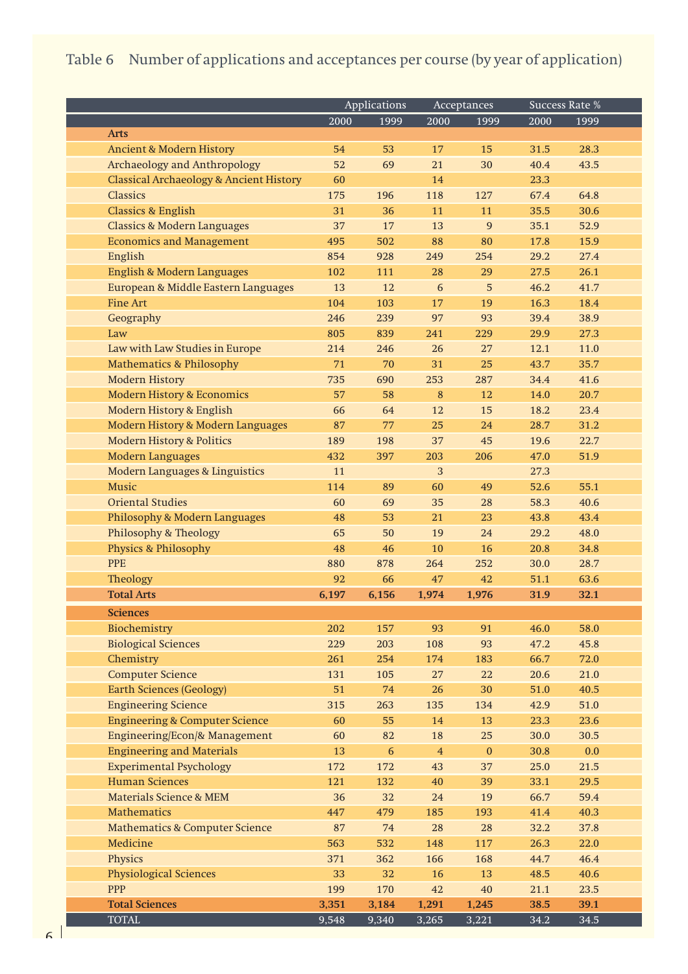## Table 6 Number of applications and acceptances per course (by year of application)

|                                                    | Applications |       | Acceptances    |              |      | Success Rate % |
|----------------------------------------------------|--------------|-------|----------------|--------------|------|----------------|
|                                                    | 2000         | 1999  | 2000           | 1999         | 2000 | 1999           |
| <b>Arts</b>                                        |              |       |                |              |      |                |
| <b>Ancient &amp; Modern History</b>                | 54           | 53    | 17             | 15           | 31.5 | 28.3           |
| Archaeology and Anthropology                       | 52           | 69    | 21             | 30           | 40.4 | 43.5           |
| <b>Classical Archaeology &amp; Ancient History</b> | 60           |       | 14             |              | 23.3 |                |
| <b>Classics</b>                                    | 175          | 196   | 118            | 127          | 67.4 | 64.8           |
| <b>Classics &amp; English</b>                      | 31           | 36    | 11             | 11           | 35.5 | 30.6           |
| <b>Classics &amp; Modern Languages</b>             | 37           | 17    | 13             | 9            | 35.1 | 52.9           |
| <b>Economics and Management</b>                    | 495          | 502   | 88             | 80           | 17.8 | 15.9           |
| English                                            | 854          | 928   | 249            | 254          | 29.2 | 27.4           |
| English & Modern Languages                         | 102          | 111   | 28             | 29           | 27.5 | 26.1           |
| European & Middle Eastern Languages                | 13           | 12    | 6              | 5            | 46.2 | 41.7           |
| <b>Fine Art</b>                                    | 104          | 103   | 17             | 19           | 16.3 | 18.4           |
| Geography                                          | 246          | 239   | 97             | 93           | 39.4 | 38.9           |
| Law                                                | 805          | 839   | 241            | 229          | 29.9 | 27.3           |
| Law with Law Studies in Europe                     | 214          | 246   | 26             | 27           | 12.1 | 11.0           |
| <b>Mathematics &amp; Philosophy</b>                | 71           | 70    | 31             | 25           | 43.7 | 35.7           |
| <b>Modern History</b>                              | 735          | 690   | 253            | 287          | 34.4 | 41.6           |
| <b>Modern History &amp; Economics</b>              | 57           | 58    | 8              | 12           | 14.0 | 20.7           |
| Modern History & English                           | 66           | 64    | 12             | 15           | 18.2 | 23.4           |
| Modern History & Modern Languages                  | 87           | 77    | 25             | 24           | 28.7 | 31.2           |
| <b>Modern History &amp; Politics</b>               | 189          | 198   | 37             | 45           | 19.6 | 22.7           |
| <b>Modern Languages</b>                            | 432          | 397   | 203            | 206          | 47.0 | 51.9           |
| Modern Languages & Linguistics                     | 11           |       | 3              |              | 27.3 |                |
| Music                                              | 114          | 89    | 60             | 49           | 52.6 | 55.1           |
| <b>Oriental Studies</b>                            | 60           | 69    | 35             | 28           | 58.3 | 40.6           |
| Philosophy & Modern Languages                      | 48           | 53    | 21             | 23           | 43.8 | 43.4           |
| <b>Philosophy &amp; Theology</b>                   | 65           | 50    | 19             | 24           | 29.2 | 48.0           |
| Physics & Philosophy                               | 48           | 46    | 10             | 16           | 20.8 | 34.8           |
| <b>PPE</b>                                         | 880          | 878   | 264            | 252          | 30.0 | 28.7           |
| Theology                                           | 92           | 66    | 47             | 42           | 51.1 | 63.6           |
| <b>Total Arts</b>                                  | 6,197        | 6,156 | 1,974          | 1,976        | 31.9 | 32.1           |
|                                                    |              |       |                |              |      |                |
| <b>Sciences</b>                                    |              |       |                |              |      |                |
| Biochemistry                                       | 202          | 157   | 93             | 91           | 46.0 | 58.0           |
| <b>Biological Sciences</b>                         | 229          | 203   | 108            | 93           | 47.2 | 45.8           |
| Chemistry                                          | 261          | 254   | 174            | 183          | 66.7 | 72.0           |
| <b>Computer Science</b>                            | 131          | 105   | 27             | 22           | 20.6 | 21.0           |
| <b>Earth Sciences (Geology)</b>                    | 51           | 74    | 26             | 30           | 51.0 | 40.5           |
| <b>Engineering Science</b>                         | 315          | 263   | 135            | 134          | 42.9 | 51.0           |
| <b>Engineering &amp; Computer Science</b>          | 60           | 55    | 14             | 13           | 23.3 | 23.6           |
| Engineering/Econ/& Management                      | 60           | 82    | 18             | 25           | 30.0 | 30.5           |
| <b>Engineering and Materials</b>                   | 13           | 6     | $\overline{4}$ | $\mathbf{0}$ | 30.8 | 0.0            |
| <b>Experimental Psychology</b>                     | 172          | 172   | 43             | 37           | 25.0 | 21.5           |
| <b>Human Sciences</b>                              | 121          | 132   | 40             | 39           | 33.1 | 29.5           |
| <b>Materials Science &amp; MEM</b>                 | 36           | 32    | 24             | 19           | 66.7 | 59.4           |
| <b>Mathematics</b>                                 | 447          | 479   | 185            | 193          | 41.4 | 40.3           |
| <b>Mathematics &amp; Computer Science</b>          | 87           | 74    | 28             | 28           | 32.2 | 37.8           |
| Medicine                                           | 563          | 532   | 148            | 117          | 26.3 | 22.0           |
| Physics                                            | 371          | 362   | 166            | 168          | 44.7 | 46.4           |
| <b>Physiological Sciences</b>                      | 33           | 32    | 16             | 13           | 48.5 | 40.6           |
| <b>PPP</b>                                         | 199          | 170   | 42             | 40           | 21.1 | 23.5           |
| <b>Total Sciences</b>                              | 3,351        | 3,184 | 1,291          | 1,245        | 38.5 | 39.1           |
| <b>TOTAL</b>                                       | 9,548        | 9,340 | 3,265          | 3,221        | 34.2 | 34.5           |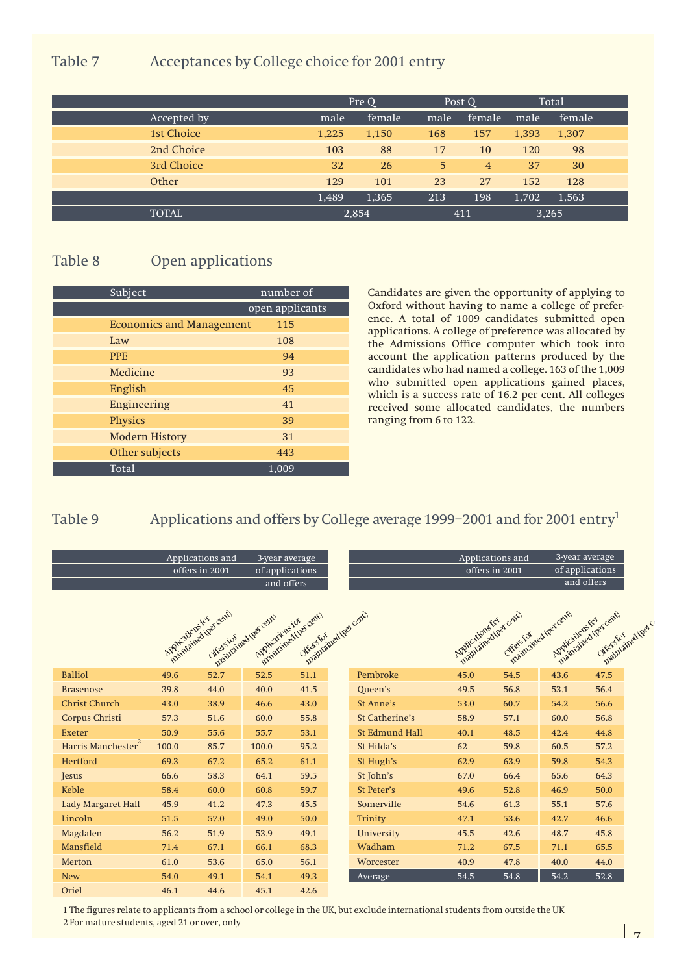#### Table 7 Acceptances by College choice for 2001 entry

|              |       | Pre Q  |      | Post O         |       | Total  |
|--------------|-------|--------|------|----------------|-------|--------|
| Accepted by  | male  | female | male | female         | male  | female |
| 1st Choice   | 1,225 | 1,150  | 168  | 157            | 1,393 | 1,307  |
| 2nd Choice   | 103   | 88     | 17   | 10             | 120   | 98     |
| 3rd Choice   | 32    | 26     | 5    | $\overline{4}$ | 37    | 30     |
| Other        | 129   | 101    | 23   | 27             | 152   | 128    |
|              | 1,489 | 1,365  | 213  | 198            | 1,702 | 1,563  |
| <b>TOTAL</b> |       | 2,854  |      | 411            |       | 3,265  |

### Table 8 Open applications

| Subject                         | number of       |  |  |  |  |
|---------------------------------|-----------------|--|--|--|--|
|                                 | open applicants |  |  |  |  |
| <b>Economics and Management</b> | 115             |  |  |  |  |
| Law                             | 108             |  |  |  |  |
| <b>PPE</b>                      | 94              |  |  |  |  |
| Medicine                        | 93              |  |  |  |  |
| English                         | 45              |  |  |  |  |
| Engineering                     | 41              |  |  |  |  |
| Physics                         | 39              |  |  |  |  |
| <b>Modern History</b>           | 31              |  |  |  |  |
| Other subjects                  | 443             |  |  |  |  |
| Total                           | 1,009           |  |  |  |  |

Candidates are given the opportunity of applying to Oxford without having to name a college of preference. A total of 1009 candidates submitted open applications. A college of preference was allocated by the Admissions Office computer which took into account the application patterns produced by the candidates who had named a college. 163 of the 1,009 who submitted open applications gained places, which is a success rate of 16.2 per cent. All colleges received some allocated candidates, the numbers ranging from 6 to 122.

#### Table 9 Applications and offers by College average 1999-2001 and for 2001 entry<sup>1</sup>

|                                | Applications and<br>offers in 2001 |                                  | 3-year average<br>of applications<br>and offers |                                                             |                       | Applications and<br>offers in 2001       |           | 3-year average<br>of applications<br>and offers |                                                       |
|--------------------------------|------------------------------------|----------------------------------|-------------------------------------------------|-------------------------------------------------------------|-----------------------|------------------------------------------|-----------|-------------------------------------------------|-------------------------------------------------------|
|                                | Applications for                   | maintained the cent<br>Offersfor | maintained they cent!<br>Applications for       | maintained (per cent)<br>maintained (per cent)<br>offersfor |                       | maintained tree cent<br>Applications for | Offersfor | maintained they cent<br>Applications for        | maintained (percent)<br>maintained there<br>Offersfor |
| <b>Balliol</b>                 | 49.6                               | 52.7                             | 52.5                                            | 51.1                                                        | Pembroke              | 45.0                                     | 54.5      | 43.6                                            | 47.5                                                  |
| <b>Brasenose</b>               | 39.8                               | 44.0                             | 40.0                                            | 41.5                                                        | Queen's               | 49.5                                     | 56.8      | 53.1                                            | 56.4                                                  |
| <b>Christ Church</b>           | 43.0                               | 38.9                             | 46.6                                            | 43.0                                                        | St Anne's             | 53.0                                     | 60.7      | 54.2                                            | 56.6                                                  |
| Corpus Christi                 | 57.3                               | 51.6                             | 60.0                                            | 55.8                                                        | St Catherine's        | 58.9                                     | 57.1      | 60.0                                            | 56.8                                                  |
| <b>Exeter</b>                  | 50.9                               | 55.6                             | 55.7                                            | 53.1                                                        | <b>St Edmund Hall</b> | 40.1                                     | 48.5      | 42.4                                            | 44.8                                                  |
| Harris Manchester <sup>2</sup> | 100.0                              | 85.7                             | 100.0                                           | 95.2                                                        | St Hilda's            | 62                                       | 59.8      | 60.5                                            | 57.2                                                  |
| Hertford                       | 69.3                               | 67.2                             | 65.2                                            | 61.1                                                        | St Hugh's             | 62.9                                     | 63.9      | 59.8                                            | 54.3                                                  |
| Jesus                          | 66.6                               | 58.3                             | 64.1                                            | 59.5                                                        | St John's             | 67.0                                     | 66.4      | 65.6                                            | 64.3                                                  |
| Keble                          | 58.4                               | 60.0                             | 60.8                                            | 59.7                                                        | <b>St Peter's</b>     | 49.6                                     | 52.8      | 46.9                                            | 50.0                                                  |
| Lady Margaret Hall             | 45.9                               | 41.2                             | 47.3                                            | 45.5                                                        | Somerville            | 54.6                                     | 61.3      | 55.1                                            | 57.6                                                  |
| Lincoln                        | 51.5                               | 57.0                             | 49.0                                            | 50.0                                                        | Trinity               | 47.1                                     | 53.6      | 42.7                                            | 46.6                                                  |
| Magdalen                       | 56.2                               | 51.9                             | 53.9                                            | 49.1                                                        | University            | 45.5                                     | 42.6      | 48.7                                            | 45.8                                                  |
| Mansfield                      | 71.4                               | 67.1                             | 66.1                                            | 68.3                                                        | Wadham                | 71.2                                     | 67.5      | 71.1                                            | 65.5                                                  |
| Merton                         | 61.0                               | 53.6                             | 65.0                                            | 56.1                                                        | Worcester             | 40.9                                     | 47.8      | 40.0                                            | 44.0                                                  |
| <b>New</b>                     | 54.0                               | 49.1                             | 54.1                                            | 49.3                                                        | Average               | 54.5                                     | 54.8      | 54.2                                            | 52.8                                                  |
| Oriel                          | 46.1                               | 44.6                             | 45.1                                            | 42.6                                                        |                       |                                          |           |                                                 |                                                       |

1 The figures relate to applicants from a school or college in the UK, but exclude international students from outside the UK 2 For mature students, aged 21 or over, only